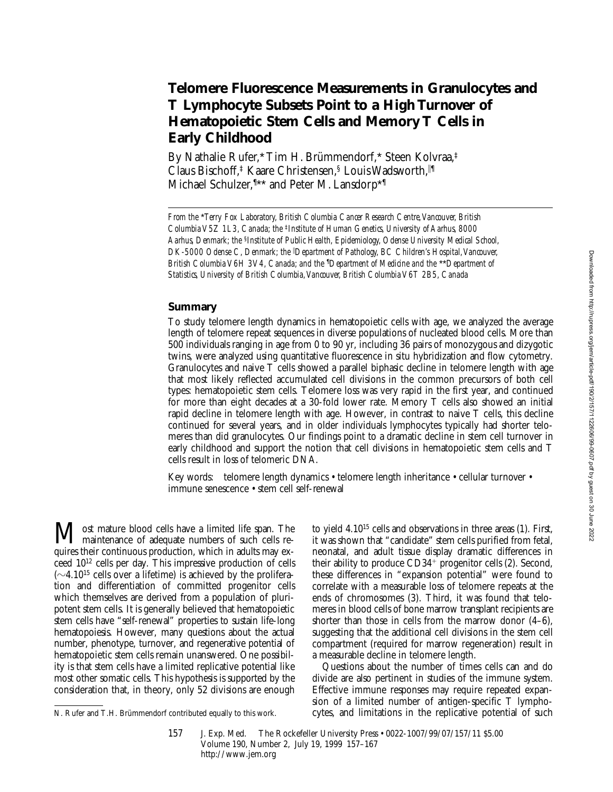# **Telomere Fluorescence Measurements in Granulocytes and T Lymphocyte Subsets Point to a High Turnover of Hematopoietic Stem Cells and Memory T Cells in Early Childhood**

By Nathalie Rufer,\* Tim H. Brümmendorf,\* Steen Kolvraa,‡ Claus Bischoff,<sup>‡</sup> Kaare Christensen,<sup>§</sup> Louis Wadsworth,<sup>||¶</sup> Michael Schulzer,¶ \*\* and Peter M. Lansdorp\*¶

*From the* \**Terry Fox Laboratory, British Columbia Cancer Research Centre, Vancouver, British Columbia V5Z 1L3, Canada; the* ‡*Institute of Human Genetics, University of Aarhus, 8000 Aarhus, Denmark; the* §*Institute of Public Health, Epidemiology, Odense University Medical School, DK-5000 Odense C, Denmark; the* <sup>i</sup> *Department of Pathology, BC Children's Hospital, Vancouver,*  British Columbia V6H 3V4, Canada; and the <sup>*I*</sup>Department of Medicine and the \*\*Department of *Statistics, University of British Columbia, Vancouver, British Columbia V6T 2B5, Canada*

## **Summary**

To study telomere length dynamics in hematopoietic cells with age, we analyzed the average length of telomere repeat sequences in diverse populations of nucleated blood cells. More than 500 individuals ranging in age from 0 to 90 yr, including 36 pairs of monozygous and dizygotic twins, were analyzed using quantitative fluorescence in situ hybridization and flow cytometry. Granulocytes and naive T cells showed a parallel biphasic decline in telomere length with age that most likely reflected accumulated cell divisions in the common precursors of both cell types: hematopoietic stem cells. Telomere loss was very rapid in the first year, and continued for more than eight decades at a 30-fold lower rate. Memory T cells also showed an initial rapid decline in telomere length with age. However, in contrast to naive T cells, this decline continued for several years, and in older individuals lymphocytes typically had shorter telomeres than did granulocytes. Our findings point to a dramatic decline in stem cell turnover in early childhood and support the notion that cell divisions in hematopoietic stem cells and T cells result in loss of telomeric DNA.

Key words: telomere length dynamics • telomere length inheritance • cellular turnover • immune senescence • stem cell self-renewal

**M** ost mature blood cells have a limited life span. The maintenance of adequate numbers of such cells requires their continuous production, which in adults may exceed 1012 cells per day. This impressive production of cells  $(\sim 4.10^{15}$  cells over a lifetime) is achieved by the proliferation and differentiation of committed progenitor cells which themselves are derived from a population of pluripotent stem cells. It is generally believed that hematopoietic stem cells have "self-renewal" properties to sustain life-long hematopoiesis. However, many questions about the actual number, phenotype, turnover, and regenerative potential of hematopoietic stem cells remain unanswered. One possibility is that stem cells have a limited replicative potential like most other somatic cells. This hypothesis is supported by the consideration that, in theory, only 52 divisions are enough to yield 4.1015 cells and observations in three areas (1). First, it was shown that "candidate" stem cells purified from fetal, neonatal, and adult tissue display dramatic differences in their ability to produce  $CD34<sup>+</sup>$  progenitor cells (2). Second, these differences in "expansion potential" were found to correlate with a measurable loss of telomere repeats at the ends of chromosomes (3). Third, it was found that telomeres in blood cells of bone marrow transplant recipients are shorter than those in cells from the marrow donor (4–6), suggesting that the additional cell divisions in the stem cell compartment (required for marrow regeneration) result in a measurable decline in telomere length.

Questions about the number of times cells can and do divide are also pertinent in studies of the immune system. Effective immune responses may require repeated expansion of a limited number of antigen-specific T lympho-N. Rufer and T.H. Brümmendorf contributed equally to this work. cytes, and limitations in the replicative potential of such

<sup>157</sup> J. Exp. Med. © The Rockefeller University Press • 0022-1007/99/07/157/11 \$5.00 Volume 190, Number 2, July 19, 1999 157–167 http://www.jem.org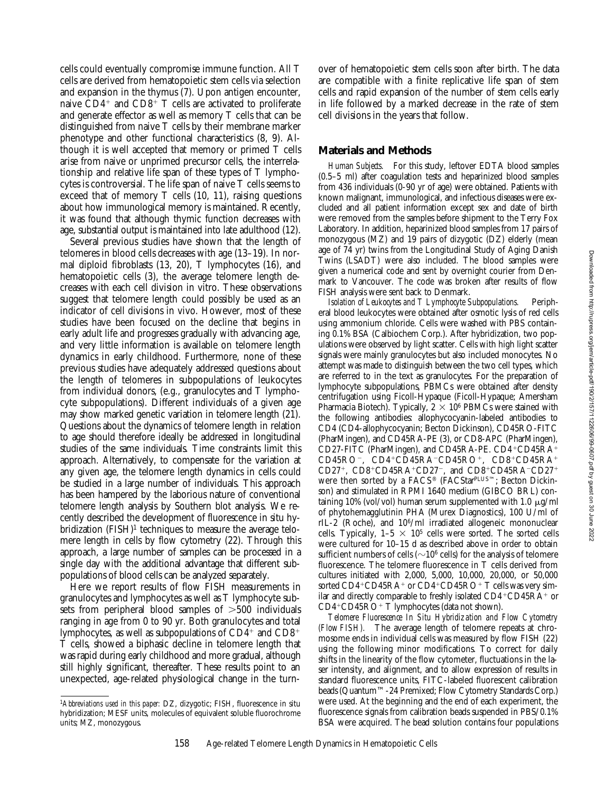cells could eventually compromise immune function. All T cells are derived from hematopoietic stem cells via selection and expansion in the thymus (7). Upon antigen encounter, naive  $\overline{CD4}^+$  and  $\overline{CD8}^+$  T cells are activated to proliferate and generate effector as well as memory T cells that can be distinguished from naive T cells by their membrane marker phenotype and other functional characteristics (8, 9). Although it is well accepted that memory or primed T cells arise from naive or unprimed precursor cells, the interrelationship and relative life span of these types of T lymphocytes is controversial. The life span of naive T cells seems to exceed that of memory T cells (10, 11), raising questions about how immunological memory is maintained. Recently, it was found that although thymic function decreases with age, substantial output is maintained into late adulthood (12).

Several previous studies have shown that the length of telomeres in blood cells decreases with age (13–19). In normal diploid fibroblasts (13, 20), T lymphocytes (16), and hematopoietic cells (3), the average telomere length decreases with each cell division in vitro. These observations suggest that telomere length could possibly be used as an indicator of cell divisions in vivo. However, most of these studies have been focused on the decline that begins in early adult life and progresses gradually with advancing age, and very little information is available on telomere length dynamics in early childhood. Furthermore, none of these previous studies have adequately addressed questions about the length of telomeres in subpopulations of leukocytes from individual donors, (e.g., granulocytes and T lymphocyte subpopulations). Different individuals of a given age may show marked genetic variation in telomere length (21). Questions about the dynamics of telomere length in relation to age should therefore ideally be addressed in longitudinal studies of the same individuals. Time constraints limit this approach. Alternatively, to compensate for the variation at any given age, the telomere length dynamics in cells could be studied in a large number of individuals. This approach has been hampered by the laborious nature of conventional telomere length analysis by Southern blot analysis. We recently described the development of fluorescence in situ hybridization  $(FISH)^1$  techniques to measure the average telomere length in cells by flow cytometry (22). Through this approach, a large number of samples can be processed in a single day with the additional advantage that different subpopulations of blood cells can be analyzed separately.

Here we report results of flow FISH measurements in granulocytes and lymphocytes as well as T lymphocyte subsets from peripheral blood samples of  $>500$  individuals ranging in age from 0 to 90 yr. Both granulocytes and total lymphocytes, as well as subpopulations of  $CD4^+$  and  $CD8^+$ T cells, showed a biphasic decline in telomere length that was rapid during early childhood and more gradual, although still highly significant, thereafter. These results point to an unexpected, age-related physiological change in the turnover of hematopoietic stem cells soon after birth. The data are compatible with a finite replicative life span of stem cells and rapid expansion of the number of stem cells early in life followed by a marked decrease in the rate of stem cell divisions in the years that follow.

## **Materials and Methods**

*Human Subjects.* For this study, leftover EDTA blood samples (0.5–5 ml) after coagulation tests and heparinized blood samples from 436 individuals (0-90 yr of age) were obtained. Patients with known malignant, immunological, and infectious diseases were excluded and all patient information except sex and date of birth were removed from the samples before shipment to the Terry Fox Laboratory. In addition, heparinized blood samples from 17 pairs of monozygous (MZ) and 19 pairs of dizygotic (DZ) elderly (mean age of 74 yr) twins from the Longitudinal Study of Aging Danish Twins (LSADT) were also included. The blood samples were given a numerical code and sent by overnight courier from Denmark to Vancouver. The code was broken after results of flow FISH analysis were sent back to Denmark.

*Isolation of Leukocytes and T Lymphocyte Subpopulations.* Peripheral blood leukocytes were obtained after osmotic lysis of red cells using ammonium chloride. Cells were washed with PBS containing 0.1% BSA (Calbiochem Corp.). After hybridization, two populations were observed by light scatter. Cells with high light scatter signals were mainly granulocytes but also included monocytes. No attempt was made to distinguish between the two cell types, which are referred to in the text as granulocytes. For the preparation of lymphocyte subpopulations, PBMCs were obtained after density centrifugation using Ficoll-Hypaque (Ficoll-Hypaque; Amersham Pharmacia Biotech). Typically,  $2 \times 10^6$  PBMCs were stained with the following antibodies: allophycocyanin-labeled antibodies to CD4 (CD4-allophycocyanin; Becton Dickinson), CD45RO-FITC (PharMingen), and CD45RA-PE (3), or CD8-APC (PharMingen), CD27-FITC (PharMingen), and CD45RA-PE. CD4+CD45RA+ CD45RO<sup>-</sup>, CD4<sup>+</sup>CD45RA<sup>-</sup>CD45RO<sup>+</sup>, CD8<sup>+</sup>CD45RA<sup>+</sup> CD27<sup>+</sup>, CD8<sup>+</sup>CD45RA<sup>+</sup>CD27<sup>-</sup>, and CD8<sup>+</sup>CD45RA<sup>-</sup>CD27<sup>+</sup> were then sorted by a FACS® (FACStarPLUS™; Becton Dickinson) and stimulated in RPMI 1640 medium (GIBCO BRL) containing 10% (vol/vol) human serum supplemented with 1.0  $\mu$ g/ml of phytohemagglutinin PHA (Murex Diagnostics), 100 U/ml of rIL-2 (Roche), and 106/ml irradiated allogeneic mononuclear cells. Typically,  $1-5 \times 10^5$  cells were sorted. The sorted cells were cultured for 10–15 d as described above in order to obtain sufficient numbers of cells ( $\sim$ 10<sup>6</sup> cells) for the analysis of telomere fluorescence. The telomere fluorescence in T cells derived from cultures initiated with 2,000, 5,000, 10,000, 20,000, or 50,000 sorted  $CD4+CD45RA+$  or  $CD4+CD45RO+$  T cells was very similar and directly comparable to freshly isolated  $CD4+CD45RA+$  or  $CD4+CD45RO+T$  lymphocytes (data not shown).

*Telomere Fluorescence In Situ Hybridization and Flow Cytometry (Flow FISH).* The average length of telomere repeats at chromosome ends in individual cells was measured by flow FISH (22) using the following minor modifications. To correct for daily shifts in the linearity of the flow cytometer, fluctuations in the laser intensity, and alignment, and to allow expression of results in standard fluorescence units, FITC-labeled fluorescent calibration beads (Quantum™-24 Premixed; Flow Cytometry Standards Corp.) were used. At the beginning and the end of each experiment, the fluorescence signals from calibration beads suspended in PBS/0.1% BSA were acquired. The bead solution contains four populations

<sup>&</sup>lt;sup>1</sup>Abbreviations used in this paper: DZ, dizygotic; FISH, fluorescence in situ hybridization; MESF units, molecules of equivalent soluble fluorochrome units; MZ, monozygous.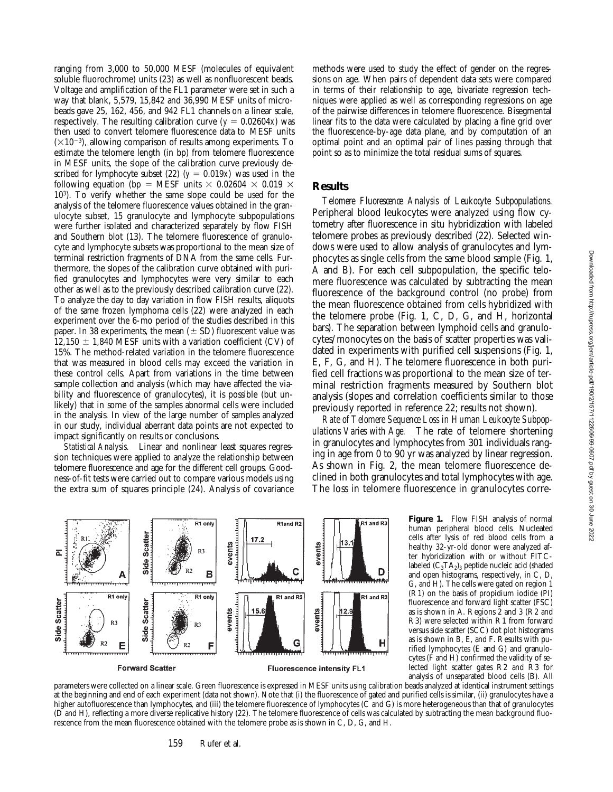ranging from 3,000 to 50,000 MESF (molecules of equivalent soluble fluorochrome) units (23) as well as nonfluorescent beads. Voltage and amplification of the FL1 parameter were set in such a way that blank, 5,579, 15,842 and 36,990 MESF units of microbeads gave 25, 162, 456, and 942 FL1 channels on a linear scale, respectively. The resulting calibration curve  $(y = 0.02604x)$  was then used to convert telomere fluorescence data to MESF units  $(\times 10^{-3})$ , allowing comparison of results among experiments. To estimate the telomere length (in bp) from telomere fluorescence in MESF units, the slope of the calibration curve previously described for lymphocyte subset  $(22)$   $(y = 0.019x)$  was used in the following equation (bp = MESF units  $\times$  0.02604  $\times$  0.019  $\times$ 103). To verify whether the same slope could be used for the analysis of the telomere fluorescence values obtained in the granulocyte subset, 15 granulocyte and lymphocyte subpopulations were further isolated and characterized separately by flow FISH and Southern blot (13). The telomere fluorescence of granulocyte and lymphocyte subsets was proportional to the mean size of terminal restriction fragments of DNA from the same cells. Furthermore, the slopes of the calibration curve obtained with purified granulocytes and lymphocytes were very similar to each other as well as to the previously described calibration curve (22). To analyze the day to day variation in flow FISH results, aliquots of the same frozen lymphoma cells (22) were analyzed in each experiment over the 6-mo period of the studies described in this paper. In 38 experiments, the mean  $(\pm SD)$  fluorescent value was  $12,150 \pm 1,840$  MESF units with a variation coefficient (CV) of 15%. The method-related variation in the telomere fluorescence that was measured in blood cells may exceed the variation in these control cells. Apart from variations in the time between sample collection and analysis (which may have affected the viability and fluorescence of granulocytes), it is possible (but unlikely) that in some of the samples abnormal cells were included in the analysis. In view of the large number of samples analyzed in our study, individual aberrant data points are not expected to impact significantly on results or conclusions.

*Statistical Analysis.* Linear and nonlinear least squares regression techniques were applied to analyze the relationship between telomere fluorescence and age for the different cell groups. Goodness-of-fit tests were carried out to compare various models using the extra sum of squares principle (24). Analysis of covariance

methods were used to study the effect of gender on the regressions on age. When pairs of dependent data sets were compared in terms of their relationship to age, bivariate regression techniques were applied as well as corresponding regressions on age of the pairwise differences in telomere fluorescence. Bisegmental linear fits to the data were calculated by placing a fine grid over the fluorescence-by-age data plane, and by computation of an optimal point and an optimal pair of lines passing through that point so as to minimize the total residual sums of squares.

# **Results**

*Telomere Fluorescence Analysis of Leukocyte Subpopulations.* Peripheral blood leukocytes were analyzed using flow cytometry after fluorescence in situ hybridization with labeled telomere probes as previously described (22). Selected windows were used to allow analysis of granulocytes and lymphocytes as single cells from the same blood sample (Fig. 1, A and B). For each cell subpopulation, the specific telomere fluorescence was calculated by subtracting the mean fluorescence of the background control (no probe) from the mean fluorescence obtained from cells hybridized with the telomere probe (Fig. 1, C, D, G, and H, horizontal bars). The separation between lymphoid cells and granulocytes/monocytes on the basis of scatter properties was validated in experiments with purified cell suspensions (Fig. 1, E, F, G, and H). The telomere fluorescence in both purified cell fractions was proportional to the mean size of terminal restriction fragments measured by Southern blot analysis (slopes and correlation coefficients similar to those previously reported in reference 22; results not shown).

*Rate of Telomere Sequence Loss in Human Leukocyte Subpopulations Varies with Age.* The rate of telomere shortening in granulocytes and lymphocytes from 301 individuals ranging in age from 0 to 90 yr was analyzed by linear regression. As shown in Fig. 2, the mean telomere fluorescence declined in both granulocytes and total lymphocytes with age. The loss in telomere fluorescence in granulocytes corre-

> Figure 1. Flow FISH analysis of normal human peripheral blood cells. Nucleated cells after lysis of red blood cells from a healthy 32-yr-old donor were analyzed after hybridization with or without FITClabeled (C<sub>3</sub>TA<sub>2</sub>)<sub>3</sub> peptide nucleic acid (shaded and open histograms, respectively, in C, D, G, and H). The cells were gated on region 1 (R1) on the basis of propidium iodide (PI) fluorescence and forward light scatter (FSC) as is shown in A. Regions 2 and 3 (R2 and R3) were selected within R1 from forward versus side scatter (SCC) dot plot histograms as is shown in B, E, and F. Results with purified lymphocytes (E and G) and granulocytes (F and H) confirmed the validity of selected light scatter gates R2 and R3 for analysis of unseparated blood cells (B). All

parameters were collected on a linear scale. Green fluorescence is expressed in MESF units using calibration beads analyzed at identical instrument settings at the beginning and end of each experiment (data not shown). Note that (i) the fluorescence of gated and purified cells is similar, (ii) granulocytes have a higher autofluorescence than lymphocytes, and (iii) the telomere fluorescence of lymphocytes (C and G) is more heterogeneous than that of granulocytes (D and H), reflecting a more diverse replicative history (22). The telomere fluorescence of cells was calculated by subtracting the mean background fluorescence from the mean fluorescence obtained with the telomere probe as is shown in C, D, G, and H.

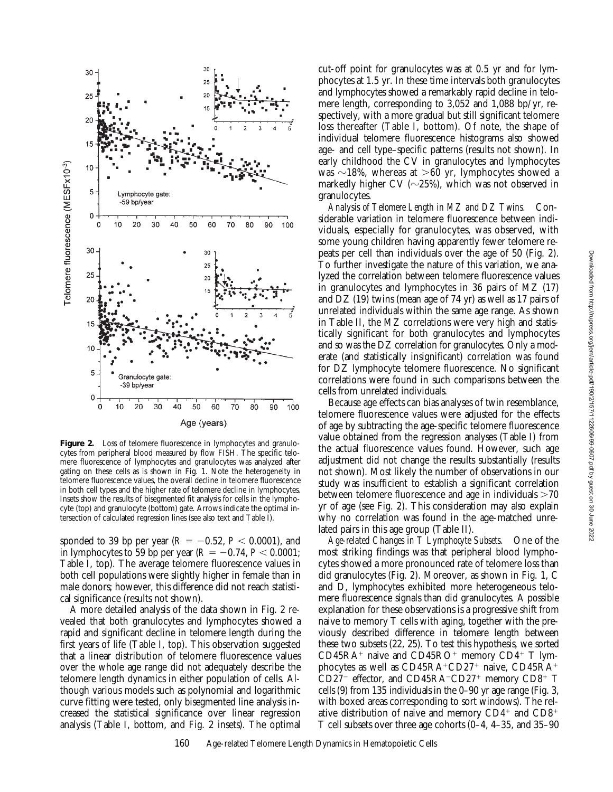

**Figure 2.** Loss of telomere fluorescence in lymphocytes and granulocytes from peripheral blood measured by flow FISH. The specific telomere fluorescence of lymphocytes and granulocytes was analyzed after gating on these cells as is shown in Fig. 1. Note the heterogeneity in telomere fluorescence values, the overall decline in telomere fluorescence in both cell types and the higher rate of telomere decline in lymphocytes. Insets show the results of bisegmented fit analysis for cells in the lymphocyte (top) and granulocyte (bottom) gate. Arrows indicate the optimal intersection of calculated regression lines (see also text and Table I).

sponded to 39 bp per year  $(R = -0.52, P < 0.0001)$ , and in lymphocytes to 59 bp per year  $(R = -0.74, P < 0.0001;$ Table I, top). The average telomere fluorescence values in both cell populations were slightly higher in female than in male donors; however, this difference did not reach statistical significance (results not shown).

A more detailed analysis of the data shown in Fig. 2 revealed that both granulocytes and lymphocytes showed a rapid and significant decline in telomere length during the first years of life (Table I, top). This observation suggested that a linear distribution of telomere fluorescence values over the whole age range did not adequately describe the telomere length dynamics in either population of cells. Although various models such as polynomial and logarithmic curve fitting were tested, only bisegmented line analysis increased the statistical significance over linear regression analysis (Table I, bottom, and Fig. 2 insets). The optimal

cut-off point for granulocytes was at 0.5 yr and for lymphocytes at 1.5 yr. In these time intervals both granulocytes and lymphocytes showed a remarkably rapid decline in telomere length, corresponding to 3,052 and 1,088 bp/yr, respectively, with a more gradual but still significant telomere loss thereafter (Table I, bottom). Of note, the shape of individual telomere fluorescence histograms also showed age- and cell type–specific patterns (results not shown). In early childhood the CV in granulocytes and lymphocytes was  $\sim$ 18%, whereas at  $>$ 60 yr, lymphocytes showed a markedly higher CV ( $\sim$ 25%), which was not observed in granulocytes.

*Analysis of Telomere Length in MZ and DZ Twins.* Considerable variation in telomere fluorescence between individuals, especially for granulocytes, was observed, with some young children having apparently fewer telomere repeats per cell than individuals over the age of 50 (Fig. 2). To further investigate the nature of this variation, we analyzed the correlation between telomere fluorescence values in granulocytes and lymphocytes in 36 pairs of MZ (17) and DZ (19) twins (mean age of 74 yr) as well as 17 pairs of unrelated individuals within the same age range. As shown in Table II, the MZ correlations were very high and statistically significant for both granulocytes and lymphocytes and so was the DZ correlation for granulocytes. Only a moderate (and statistically insignificant) correlation was found for DZ lymphocyte telomere fluorescence. No significant correlations were found in such comparisons between the cells from unrelated individuals.

Because age effects can bias analyses of twin resemblance, telomere fluorescence values were adjusted for the effects of age by subtracting the age-specific telomere fluorescence value obtained from the regression analyses (Table I) from the actual fluorescence values found. However, such age adjustment did not change the results substantially (results not shown). Most likely the number of observations in our study was insufficient to establish a significant correlation between telomere fluorescence and age in individuals  $>70$ yr of age (see Fig. 2). This consideration may also explain why no correlation was found in the age-matched unrelated pairs in this age group (Table II).

*Age-related Changes in T Lymphocyte Subsets.* One of the most striking findings was that peripheral blood lymphocytes showed a more pronounced rate of telomere loss than did granulocytes (Fig. 2). Moreover, as shown in Fig. 1, C and D, lymphocytes exhibited more heterogeneous telomere fluorescence signals than did granulocytes. A possible explanation for these observations is a progressive shift from naive to memory T cells with aging, together with the previously described difference in telomere length between these two subsets (22, 25). To test this hypothesis, we sorted  $CD45RA+$  naive and  $CD45RO+$  memory  $CD4+$  T lymphocytes as well as  $CD45RA+CD27+$  naive,  $CD45RA+$  $CD27$ <sup>-</sup> effector, and  $CD45RA$ <sup>-</sup> $CD27$ <sup>+</sup> memory  $CD8$ <sup>+</sup> T cells (9) from 135 individuals in the 0–90 yr age range (Fig. 3, with boxed areas corresponding to sort windows). The relative distribution of naive and memory  $CD4^+$  and  $CD8^+$ T cell subsets over three age cohorts (0–4, 4–35, and 35–90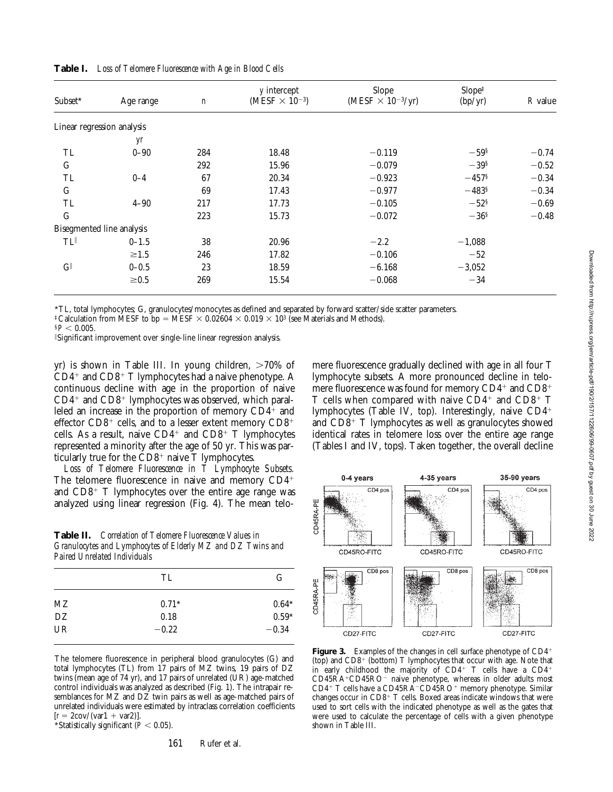| Subset*                    | Age range                 | $\boldsymbol{n}$ | y intercept<br>(MESF $\times$ 10 <sup>-3</sup> ) | Slope<br>(MESF $\times$ 10 <sup>-3</sup> /yr) | $Slope$ <sup><math>†</math></sup><br>(bp/yr) | $R$ value |
|----------------------------|---------------------------|------------------|--------------------------------------------------|-----------------------------------------------|----------------------------------------------|-----------|
| Linear regression analysis |                           |                  |                                                  |                                               |                                              |           |
|                            | yr                        |                  |                                                  |                                               |                                              |           |
| TL                         | $0 - 90$                  | 284              | 18.48                                            | $-0.119$                                      | $-59^{\$}$                                   | $-0.74$   |
| ${\rm G}$                  |                           | 292              | 15.96                                            | $-0.079$                                      | $-39^{\$}$                                   | $-0.52$   |
| <b>TL</b>                  | $0 - 4$                   | 67               | 20.34                                            | $-0.923$                                      | $-457$ <sup>§</sup>                          | $-0.34$   |
| G                          |                           | 69               | 17.43                                            | $-0.977$                                      | $-483$ <sup>§</sup>                          | $-0.34$   |
| <b>TL</b>                  | $4 - 90$                  | 217              | 17.73                                            | $-0.105$                                      | $-52$ <sup>§</sup>                           | $-0.69$   |
| G                          |                           | 223              | 15.73                                            | $-0.072$                                      | $-36^{\$}$                                   | $-0.48$   |
|                            | Bisegmented line analysis |                  |                                                  |                                               |                                              |           |
| TL                         | $0 - 1.5$                 | 38               | 20.96                                            | $-2.2$                                        | $-1,088$                                     |           |
|                            | $\geq 1.5$                | 246              | 17.82                                            | $-0.106$                                      | $-52$                                        |           |
| $G^{\parallel}$            | $0 - 0.5$                 | 23               | 18.59                                            | $-6.168$                                      | $-3,052$                                     |           |
|                            | $\geq 0.5$                | 269              | 15.54                                            | $-0.068$                                      | $-34$                                        |           |

**Table I.** *Loss of Telomere Fluorescence with Age in Blood Cells*

\*TL, total lymphocytes; G, granulocytes/monocytes as defined and separated by forward scatter/side scatter parameters.

<sup>‡</sup>Calculation from MESF to bp = MESF  $\times$  0.02604  $\times$  0.019  $\times$  10<sup>3</sup> (see Materials and Methods).

 $\frac{6}{5}P < 0.005$ .

 $\mathbb I$ Significant improvement over single-line linear regression analysis.

yr) is shown in Table III. In young children,  $>70\%$  of  $CD4^+$  and  $CD8^+$  T lymphocytes had a naive phenotype. A continuous decline with age in the proportion of naive  $CD4<sup>+</sup>$  and  $CD8<sup>+</sup>$  lymphocytes was observed, which paralleled an increase in the proportion of memory  $CD4^+$  and effector  $CD8^+$  cells, and to a lesser extent memory  $CD8^+$ cells. As a result, naive  $CD4^+$  and  $CD8^+$  T lymphocytes represented a minority after the age of 50 yr. This was particularly true for the  $CD8<sup>+</sup>$  naive T lymphocytes.

*Loss of Telomere Fluorescence in T Lymphocyte Subsets.* The telomere fluorescence in naive and memory  $CD4^+$ and  $CD8<sup>+</sup>$  T lymphocytes over the entire age range was analyzed using linear regression (Fig. 4). The mean telo-

**Table II.** *Correlation of Telomere Fluorescence Values in Granulocytes and Lymphocytes of Elderly MZ and DZ Twins and Paired Unrelated Individuals*

|           | TL      | G       |
|-----------|---------|---------|
| MZ        | $0.71*$ | $0.64*$ |
| DZ        | 0.18    | $0.59*$ |
| <b>UR</b> | $-0.22$ | $-0.34$ |
|           |         |         |

The telomere fluorescence in peripheral blood granulocytes (G) and total lymphocytes (TL) from 17 pairs of MZ twins, 19 pairs of DZ twins (mean age of 74 yr), and 17 pairs of unrelated (UR) age-matched control individuals was analyzed as described (Fig. 1). The intrapair resemblances for MZ and DZ twin pairs as well as age-matched pairs of unrelated individuals were estimated by intraclass correlation coefficients  $[r = 2\text{cov}/(\text{var1} + \text{var2})]$ .

\*Statistically significant  $(P < 0.05)$ .

161 Rufer et al.

mere fluorescence gradually declined with age in all four T lymphocyte subsets. A more pronounced decline in telomere fluorescence was found for memory  $CD4^+$  and  $CD8^+$ T cells when compared with naive  $CD4^+$  and  $CD8^+$  T lymphocytes (Table IV, top). Interestingly, naive  $CD4^+$ and  $CD8<sup>+</sup>$  T lymphocytes as well as granulocytes showed identical rates in telomere loss over the entire age range (Tables I and IV, tops). Taken together, the overall decline



**Figure 3.** Examples of the changes in cell surface phenotype of  $CD4$ <sup>+</sup> (top) and  $CD8<sup>+</sup>$  (bottom) T lymphocytes that occur with age. Note that in early childhood the majority of  $CD4^+$  T cells have a  $CD4^+$  $CD45\AA^+CD45\mathrm{RO}^-$  naive phenotype, whereas in older adults most  $CD4^+$  T cells have a  $CD45R\overline{A}$ <sup>-</sup> $CD45RO^+$  memory phenotype. Similar changes occur in  $CD8^+$  T cells. Boxed areas indicate windows that were used to sort cells with the indicated phenotype as well as the gates that were used to calculate the percentage of cells with a given phenotype shown in Table III.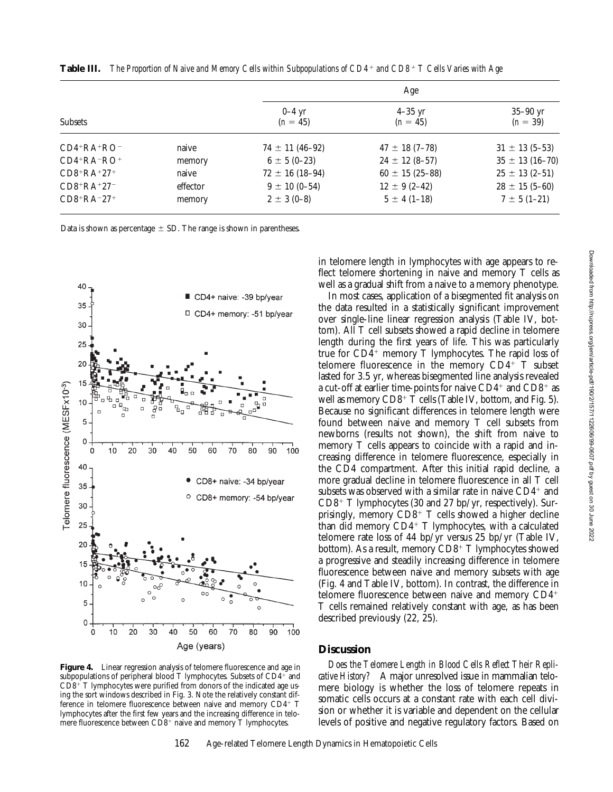|                |          |                        | Age                     |                          |  |  |
|----------------|----------|------------------------|-------------------------|--------------------------|--|--|
| <b>Subsets</b> |          | $0-4$ yr<br>$(n = 45)$ | $4-35$ yr<br>$(n = 45)$ | $35-90$ yr<br>$(n = 39)$ |  |  |
| $CD4+RA+RO^-$  | naive    | $74 \pm 11(46 - 92)$   | $47 \pm 18 (7 - 78)$    | $31 \pm 13(5-53)$        |  |  |
| $CD4+RA-RO+$   | memory   | $6 \pm 5 (0 - 23)$     | $24 \pm 12 (8 - 57)$    | $35 \pm 13(16-70)$       |  |  |
| $CD8+RA+27+$   | naive    | $72 \pm 16 (18 - 94)$  | $60 \pm 15 (25 - 88)$   | $25 \pm 13(2-51)$        |  |  |
| $CD8+RA+27$    | effector | $9 \pm 10 (0 - 54)$    | $12 \pm 9(2-42)$        | $28 \pm 15 (5 - 60)$     |  |  |
| $CD8+RA-27+$   | memory   | $2 \pm 3(0-8)$         | $5 \pm 4(1-18)$         | $7 \pm 5(1-21)$          |  |  |

**Table III.** *The Proportion of Naive and Memory Cells within Subpopulations of CD4*1 *and CD8*1 *T Cells Varies with Age*

Data is shown as percentage  $\pm$  SD. The range is shown in parentheses.



**Figure 4.** Linear regression analysis of telomere fluorescence and age in subpopulations of peripheral blood  $T$  lymphocytes. Subsets of  $CD4^+$  and  $CD8^+$  T lymphocytes were purified from donors of the indicated age using the sort windows described in Fig. 3. Note the relatively constant difference in telomere fluorescence between naive and memory CD4+ T lymphocytes after the first few years and the increasing difference in telomere fluorescence between  $CD8<sup>+</sup>$  naive and memory  $T$  lymphocytes.

in telomere length in lymphocytes with age appears to reflect telomere shortening in naive and memory T cells as well as a gradual shift from a naive to a memory phenotype.

In most cases, application of a bisegmented fit analysis on the data resulted in a statistically significant improvement over single-line linear regression analysis (Table IV, bottom). All T cell subsets showed a rapid decline in telomere length during the first years of life. This was particularly true for  $CD4$ <sup>+</sup> memory T lymphocytes. The rapid loss of telomere fluorescence in the memory  $CD4^+$  T subset lasted for 3.5 yr, whereas bisegmented line analysis revealed a cut-off at earlier time-points for naive  $CD4^+$  and  $CD8^+$  as well as memory  $CD8^+$  T cells (Table IV, bottom, and Fig. 5). Because no significant differences in telomere length were found between naive and memory T cell subsets from newborns (results not shown), the shift from naive to memory T cells appears to coincide with a rapid and increasing difference in telomere fluorescence, especially in the CD4 compartment. After this initial rapid decline, a more gradual decline in telomere fluorescence in all T cell subsets was observed with a similar rate in naive  $CD4^+$  and  $CD8^+$  T lymphocytes (30 and 27 bp/yr, respectively). Surprisingly, memory  $CD8^+$  T cells showed a higher decline than did memory  $CD4+T$  lymphocytes, with a calculated telomere rate loss of 44 bp/yr versus 25 bp/yr (Table IV, bottom). As a result, memory CD8<sup>+</sup> T lymphocytes showed a progressive and steadily increasing difference in telomere fluorescence between naive and memory subsets with age (Fig. 4 and Table IV, bottom). In contrast, the difference in telomere fluorescence between naive and memory  $CD4^+$ T cells remained relatively constant with age, as has been described previously (22, 25).

### **Discussion**

*Does the Telomere Length in Blood Cells Reflect Their Replicative History?* A major unresolved issue in mammalian telomere biology is whether the loss of telomere repeats in somatic cells occurs at a constant rate with each cell division or whether it is variable and dependent on the cellular levels of positive and negative regulatory factors. Based on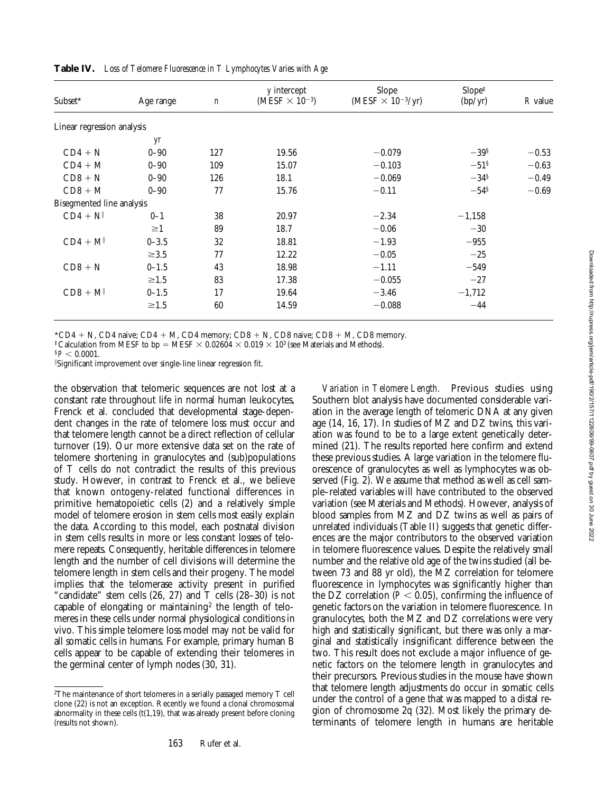| Subset*                    | Age range  | $\boldsymbol{n}$ | y intercept<br>(MESF $\times$ 10 <sup>-3</sup> ) | Slope<br>(MESF $\times$ 10 <sup>-3</sup> /yr) | $Slope^{\ddagger}$<br>(bp/yr) | $R$ value |
|----------------------------|------------|------------------|--------------------------------------------------|-----------------------------------------------|-------------------------------|-----------|
| Linear regression analysis |            |                  |                                                  |                                               |                               |           |
|                            | yr         |                  |                                                  |                                               |                               |           |
| $CD4 + N$                  | $0 - 90$   | 127              | 19.56                                            | $-0.079$                                      | $-39§$                        | $-0.53$   |
| $CD4 + M$                  | $0 - 90$   | 109              | 15.07                                            | $-0.103$                                      | $-51§$                        | $-0.63$   |
| $CD8 + N$                  | $0 - 90$   | 126              | 18.1                                             | $-0.069$                                      | $-34^s$                       | $-0.49$   |
| $CD8 + M$                  | $0 - 90$   | 77               | 15.76                                            | $-0.11$                                       | $-54§$                        | $-0.69$   |
| Bisegmented line analysis  |            |                  |                                                  |                                               |                               |           |
| $CD4 + N$                  | $0 - 1$    | 38               | 20.97                                            | $-2.34$                                       | $-1,158$                      |           |
|                            | $\geq$ 1   | 89               | 18.7                                             | $-0.06$                                       | $-30$                         |           |
| $CD4 + M$                  | $0 - 3.5$  | 32               | 18.81                                            | $-1.93$                                       | $-955$                        |           |
|                            | $\geq 3.5$ | 77               | 12.22                                            | $-0.05$                                       | $-25$                         |           |
| $CD8 + N$                  | $0 - 1.5$  | 43               | 18.98                                            | $-1.11$                                       | $-549$                        |           |
|                            | $\geq 1.5$ | 83               | 17.38                                            | $-0.055$                                      | $-27$                         |           |
| $CD8 + M$                  | $0 - 1.5$  | 17               | 19.64                                            | $-3.46$                                       | $-1,712$                      |           |
|                            | $\geq 1.5$ | 60               | 14.59                                            | $-0.088$                                      | $-44$                         |           |

**Table IV.** *Loss of Telomere Fluorescence in T Lymphocytes Varies with Age*

\*CD4 + N, CD4 naive; CD4 + M, CD4 memory; CD8 + N, CD8 naive; CD8 + M, CD8 memory.

<sup>‡</sup>Calculation from MESF to bp = MESF  $\times$  0.02604  $\times$  0.019  $\times$  10<sup>3</sup> (see Materials and Methods).

 $\frac{6}{5}P < 0.0001$ .

 $\mathbb I$ Significant improvement over single-line linear regression fit.

the observation that telomeric sequences are not lost at a constant rate throughout life in normal human leukocytes, Frenck et al. concluded that developmental stage-dependent changes in the rate of telomere loss must occur and that telomere length cannot be a direct reflection of cellular turnover (19). Our more extensive data set on the rate of telomere shortening in granulocytes and (sub)populations of T cells do not contradict the results of this previous study. However, in contrast to Frenck et al., we believe that known ontogeny-related functional differences in primitive hematopoietic cells (2) and a relatively simple model of telomere erosion in stem cells most easily explain the data. According to this model, each postnatal division in stem cells results in more or less constant losses of telomere repeats. Consequently, heritable differences in telomere length and the number of cell divisions will determine the telomere length in stem cells and their progeny. The model implies that the telomerase activity present in purified "candidate" stem cells (26, 27) and T cells (28–30) is not capable of elongating or maintaining<sup>2</sup> the length of telomeres in these cells under normal physiological conditions in vivo. This simple telomere loss model may not be valid for all somatic cells in humans. For example, primary human B cells appear to be capable of extending their telomeres in the germinal center of lymph nodes (30, 31).

*Variation in Telomere Length.* Previous studies using Southern blot analysis have documented considerable variation in the average length of telomeric DNA at any given age (14, 16, 17). In studies of MZ and DZ twins, this variation was found to be to a large extent genetically determined (21). The results reported here confirm and extend these previous studies. A large variation in the telomere fluorescence of granulocytes as well as lymphocytes was observed (Fig. 2). We assume that method as well as cell sample–related variables will have contributed to the observed variation (see Materials and Methods). However, analysis of blood samples from MZ and DZ twins as well as pairs of unrelated individuals (Table II) suggests that genetic differences are the major contributors to the observed variation in telomere fluorescence values. Despite the relatively small number and the relative old age of the twins studied (all between 73 and 88 yr old), the MZ correlation for telomere fluorescence in lymphocytes was significantly higher than the DZ correlation  $(P < 0.05)$ , confirming the influence of genetic factors on the variation in telomere fluorescence. In granulocytes, both the MZ and DZ correlations were very high and statistically significant, but there was only a marginal and statistically insignificant difference between the two. This result does not exclude a major influence of genetic factors on the telomere length in granulocytes and their precursors. Previous studies in the mouse have shown that telomere length adjustments do occur in somatic cells under the control of a gene that was mapped to a distal region of chromosome 2q (32). Most likely the primary determinants of telomere length in humans are heritable

<sup>2</sup>The maintenance of short telomeres in a serially passaged memory T cell clone (22) is not an exception. Recently we found a clonal chromosomal abnormality in these cells  $(t(1,19))$ , that was already present before cloning (results not shown).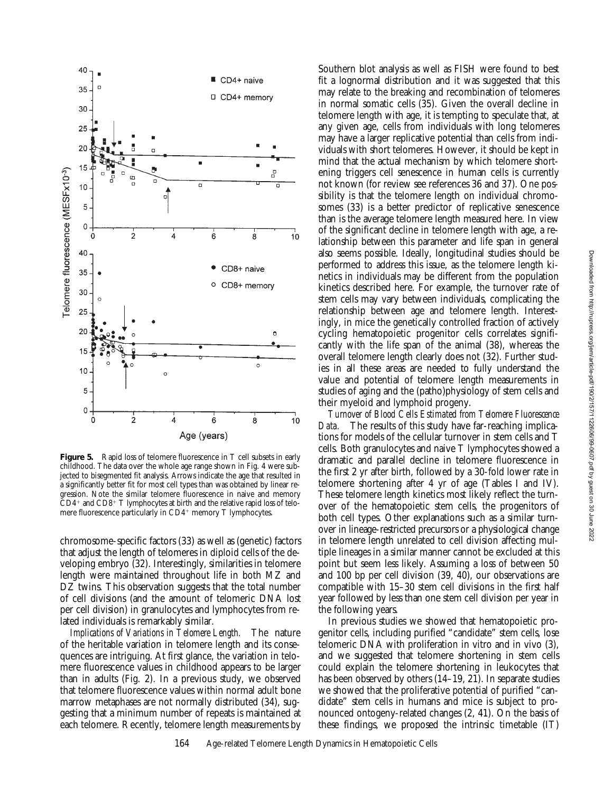

Figure 5. Rapid loss of telomere fluorescence in T cell subsets in early childhood. The data over the whole age range shown in Fig. 4 were subjected to bisegmented fit analysis. Arrows indicate the age that resulted in a significantly better fit for most cell types than was obtained by linear regression. Note the similar telomere fluorescence in naive and memory  $CD4^+$  and  $CD8^+$  T lymphocytes at birth and the relative rapid loss of telomere fluorescence particularly in  $CD4^+$  memory T lymphocytes.

chromosome-specific factors (33) as well as (genetic) factors that adjust the length of telomeres in diploid cells of the developing embryo (32). Interestingly, similarities in telomere length were maintained throughout life in both MZ and DZ twins. This observation suggests that the total number of cell divisions (and the amount of telomeric DNA lost per cell division) in granulocytes and lymphocytes from related individuals is remarkably similar.

*Implications of Variations in Telomere Length.* The nature of the heritable variation in telomere length and its consequences are intriguing. At first glance, the variation in telomere fluorescence values in childhood appears to be larger than in adults (Fig. 2). In a previous study, we observed that telomere fluorescence values within normal adult bone marrow metaphases are not normally distributed (34), suggesting that a minimum number of repeats is maintained at each telomere. Recently, telomere length measurements by Southern blot analysis as well as FISH were found to best fit a lognormal distribution and it was suggested that this may relate to the breaking and recombination of telomeres in normal somatic cells (35). Given the overall decline in telomere length with age, it is tempting to speculate that, at any given age, cells from individuals with long telomeres may have a larger replicative potential than cells from individuals with short telomeres. However, it should be kept in mind that the actual mechanism by which telomere shortening triggers cell senescence in human cells is currently not known (for review see references 36 and 37). One possibility is that the telomere length on individual chromosomes (33) is a better predictor of replicative senescence than is the average telomere length measured here. In view of the significant decline in telomere length with age, a relationship between this parameter and life span in general also seems possible. Ideally, longitudinal studies should be performed to address this issue, as the telomere length kinetics in individuals may be different from the population kinetics described here. For example, the turnover rate of stem cells may vary between individuals, complicating the relationship between age and telomere length. Interestingly, in mice the genetically controlled fraction of actively cycling hematopoietic progenitor cells correlates significantly with the life span of the animal (38), whereas the overall telomere length clearly does not (32). Further studies in all these areas are needed to fully understand the value and potential of telomere length measurements in studies of aging and the (patho)physiology of stem cells and their myeloid and lymphoid progeny.

*Turnover of Blood Cells Estimated from Telomere Fluorescence Data.* The results of this study have far-reaching implications for models of the cellular turnover in stem cells and T cells. Both granulocytes and naive T lymphocytes showed a dramatic and parallel decline in telomere fluorescence in the first 2 yr after birth, followed by a 30-fold lower rate in telomere shortening after 4 yr of age (Tables I and IV). These telomere length kinetics most likely reflect the turnover of the hematopoietic stem cells, the progenitors of both cell types. Other explanations such as a similar turnover in lineage-restricted precursors or a physiological change in telomere length unrelated to cell division affecting multiple lineages in a similar manner cannot be excluded at this point but seem less likely. Assuming a loss of between 50 and 100 bp per cell division (39, 40), our observations are compatible with 15–30 stem cell divisions in the first half year followed by less than one stem cell division per year in the following years.

In previous studies we showed that hematopoietic progenitor cells, including purified "candidate" stem cells, lose telomeric DNA with proliferation in vitro and in vivo (3), and we suggested that telomere shortening in stem cells could explain the telomere shortening in leukocytes that has been observed by others (14–19, 21). In separate studies we showed that the proliferative potential of purified "candidate" stem cells in humans and mice is subject to pronounced ontogeny-related changes (2, 41). On the basis of these findings, we proposed the intrinsic timetable (IT)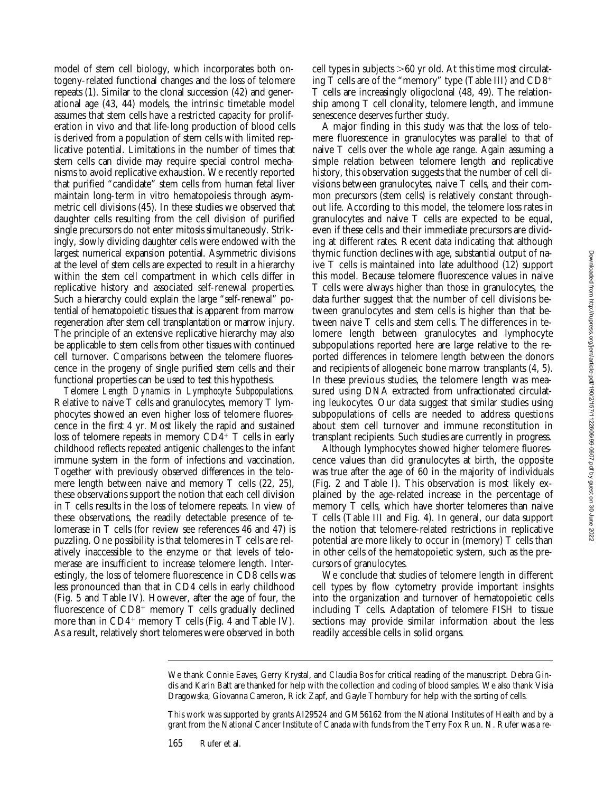model of stem cell biology, which incorporates both ontogeny-related functional changes and the loss of telomere repeats (1). Similar to the clonal succession (42) and generational age (43, 44) models, the intrinsic timetable model assumes that stem cells have a restricted capacity for proliferation in vivo and that life-long production of blood cells is derived from a population of stem cells with limited replicative potential. Limitations in the number of times that stem cells can divide may require special control mechanisms to avoid replicative exhaustion. We recently reported that purified "candidate" stem cells from human fetal liver maintain long-term in vitro hematopoiesis through asymmetric cell divisions (45). In these studies we observed that daughter cells resulting from the cell division of purified single precursors do not enter mitosis simultaneously. Strikingly, slowly dividing daughter cells were endowed with the largest numerical expansion potential. Asymmetric divisions at the level of stem cells are expected to result in a hierarchy within the stem cell compartment in which cells differ in replicative history and associated self-renewal properties. Such a hierarchy could explain the large "self-renewal" potential of hematopoietic tissues that is apparent from marrow regeneration after stem cell transplantation or marrow injury. The principle of an extensive replicative hierarchy may also be applicable to stem cells from other tissues with continued cell turnover. Comparisons between the telomere fluorescence in the progeny of single purified stem cells and their functional properties can be used to test this hypothesis.

*Telomere Length Dynamics in Lymphocyte Subpopulations.* Relative to naive T cells and granulocytes, memory T lymphocytes showed an even higher loss of telomere fluorescence in the first 4 yr. Most likely the rapid and sustained loss of telomere repeats in memory  $CD4^+$  T cells in early childhood reflects repeated antigenic challenges to the infant immune system in the form of infections and vaccination. Together with previously observed differences in the telomere length between naive and memory T cells (22, 25), these observations support the notion that each cell division in T cells results in the loss of telomere repeats. In view of these observations, the readily detectable presence of telomerase in T cells (for review see references 46 and 47) is puzzling. One possibility is that telomeres in T cells are relatively inaccessible to the enzyme or that levels of telomerase are insufficient to increase telomere length. Interestingly, the loss of telomere fluorescence in CD8 cells was less pronounced than that in CD4 cells in early childhood (Fig. 5 and Table IV). However, after the age of four, the fluorescence of  $CD8<sup>+</sup>$  memory T cells gradually declined more than in  $CD4^+$  memory  $\dot{T}$  cells (Fig. 4 and Table IV). As a result, relatively short telomeres were observed in both

cell types in subjects  $>60$  yr old. At this time most circulating  $T$  cells are of the "memory" type (Table III) and  $CD8<sup>+</sup>$ T cells are increasingly oligoclonal (48, 49). The relationship among T cell clonality, telomere length, and immune senescence deserves further study.

A major finding in this study was that the loss of telomere fluorescence in granulocytes was parallel to that of naive T cells over the whole age range. Again assuming a simple relation between telomere length and replicative history, this observation suggests that the number of cell divisions between granulocytes, naive T cells, and their common precursors (stem cells) is relatively constant throughout life. According to this model, the telomere loss rates in granulocytes and naive T cells are expected to be equal, even if these cells and their immediate precursors are dividing at different rates. Recent data indicating that although thymic function declines with age, substantial output of naive T cells is maintained into late adulthood (12) support this model. Because telomere fluorescence values in naive T cells were always higher than those in granulocytes, the data further suggest that the number of cell divisions between granulocytes and stem cells is higher than that between naive T cells and stem cells. The differences in telomere length between granulocytes and lymphocyte subpopulations reported here are large relative to the reported differences in telomere length between the donors and recipients of allogeneic bone marrow transplants (4, 5). In these previous studies, the telomere length was measured using DNA extracted from unfractionated circulating leukocytes. Our data suggest that similar studies using subpopulations of cells are needed to address questions about stem cell turnover and immune reconstitution in transplant recipients. Such studies are currently in progress.

Although lymphocytes showed higher telomere fluorescence values than did granulocytes at birth, the opposite was true after the age of 60 in the majority of individuals (Fig. 2 and Table I). This observation is most likely explained by the age-related increase in the percentage of memory T cells, which have shorter telomeres than naive T cells (Table III and Fig. 4). In general, our data support the notion that telomere-related restrictions in replicative potential are more likely to occur in (memory) T cells than in other cells of the hematopoietic system, such as the precursors of granulocytes.

We conclude that studies of telomere length in different cell types by flow cytometry provide important insights into the organization and turnover of hematopoietic cells including T cells. Adaptation of telomere FISH to tissue sections may provide similar information about the less readily accessible cells in solid organs.

165 Rufer et al.

We thank Connie Eaves, Gerry Krystal, and Claudia Bos for critical reading of the manuscript. Debra Gindis and Karin Batt are thanked for help with the collection and coding of blood samples. We also thank Visia Dragowska, Giovanna Cameron, Rick Zapf, and Gayle Thornbury for help with the sorting of cells.

This work was supported by grants AI29524 and GM56162 from the National Institutes of Health and by a grant from the National Cancer Institute of Canada with funds from the Terry Fox Run. N. Rufer was a re-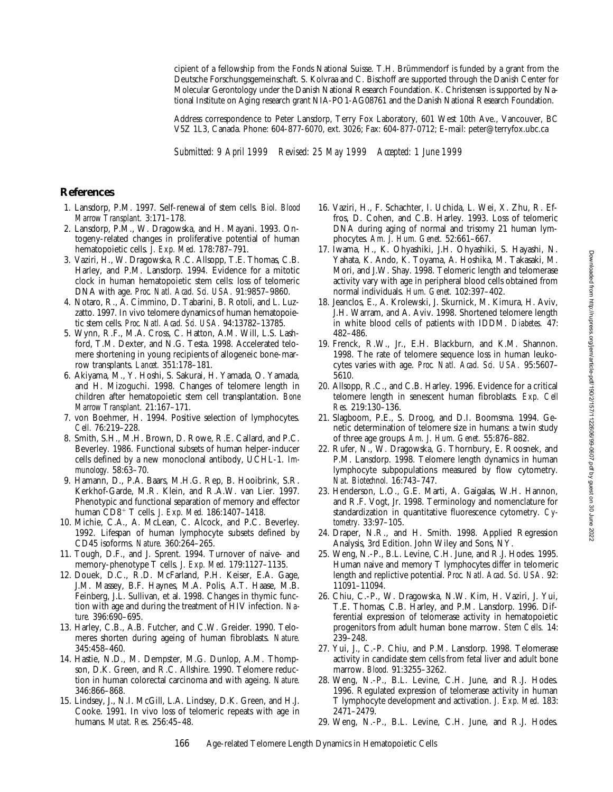cipient of a fellowship from the Fonds National Suisse. T.H. Brümmendorf is funded by a grant from the Deutsche Forschungsgemeinschaft. S. Kolvraa and C. Bischoff are supported through the Danish Center for Molecular Gerontology under the Danish National Research Foundation. K. Christensen is supported by National Institute on Aging research grant NIA-PO1-AG08761 and the Danish National Research Foundation.

Address correspondence to Peter Lansdorp, Terry Fox Laboratory, 601 West 10th Ave., Vancouver, BC V5Z 1L3, Canada. Phone: 604-877-6070, ext. 3026; Fax: 604-877-0712; E-mail: peter@terryfox.ubc.ca

*Submitted: 9 April 1999 Revised: 25 May 1999 Accepted: 1 June 1999*

#### **References**

- 1. Lansdorp, P.M. 1997. Self-renewal of stem cells. *Biol. Blood Marrow Transplant.* 3:171–178.
- 2. Lansdorp, P.M., W. Dragowska, and H. Mayani. 1993. Ontogeny-related changes in proliferative potential of human hematopoietic cells. *J. Exp. Med.* 178:787–791.
- 3. Vaziri, H., W. Dragowska, R.C. Allsopp, T.E. Thomas, C.B. Harley, and P.M. Lansdorp. 1994. Evidence for a mitotic clock in human hematopoietic stem cells: loss of telomeric DNA with age. *Proc. Natl. Acad. Sci. USA.* 91:9857–9860.
- 4. Notaro, R., A. Cimmino, D. Tabarini, B. Rotoli, and L. Luzzatto. 1997. In vivo telomere dynamics of human hematopoietic stem cells. *Proc. Natl. Acad. Sci. USA.* 94:13782–13785.
- 5. Wynn, R.F., M.A. Cross, C. Hatton, A.M. Will, L.S. Lashford, T.M. Dexter, and N.G. Testa. 1998. Accelerated telomere shortening in young recipients of allogeneic bone-marrow transplants. *Lancet.* 351:178–181.
- 6. Akiyama, M., Y. Hoshi, S. Sakurai, H. Yamada, O. Yamada, and H. Mizoguchi. 1998. Changes of telomere length in children after hematopoietic stem cell transplantation. *Bone Marrow Transplant.* 21:167–171.
- 7. von Boehmer, H. 1994. Positive selection of lymphocytes. *Cell.* 76:219–228.
- 8. Smith, S.H., M.H. Brown, D. Rowe, R.E. Callard, and P.C. Beverley. 1986. Functional subsets of human helper-inducer cells defined by a new monoclonal antibody, UCHL-1. *Immunology.* 58:63–70.
- 9. Hamann, D., P.A. Baars, M.H.G. Rep, B. Hooibrink, S.R. Kerkhof-Garde, M.R. Klein, and R.A.W. van Lier. 1997. Phenotypic and functional separation of memory and effector human CD8<sup>1</sup> T cells. *J. Exp. Med.* 186:1407–1418.
- 10. Michie, C.A., A. McLean, C. Alcock, and P.C. Beverley. 1992. Lifespan of human lymphocyte subsets defined by CD45 isoforms. *Nature.* 360:264–265.
- 11. Tough, D.F., and J. Sprent. 1994. Turnover of naive- and memory-phenotype T cells. *J. Exp. Med.* 179:1127–1135.
- 12. Douek, D.C., R.D. McFarland, P.H. Keiser, E.A. Gage, J.M. Massey, B.F. Haynes, M.A. Polis, A.T. Haase, M.B. Feinberg, J.L. Sullivan, et al. 1998. Changes in thymic function with age and during the treatment of HIV infection. *Nature.* 396:690–695.
- 13. Harley, C.B., A.B. Futcher, and C.W. Greider. 1990. Telomeres shorten during ageing of human fibroblasts. *Nature.* 345:458–460.
- 14. Hastie, N.D., M. Dempster, M.G. Dunlop, A.M. Thompson, D.K. Green, and R.C. Allshire. 1990. Telomere reduction in human colorectal carcinoma and with ageing. *Nature.* 346:866–868.
- 15. Lindsey, J., N.I. McGill, L.A. Lindsey, D.K. Green, and H.J. Cooke. 1991. In vivo loss of telomeric repeats with age in humans. *Mutat. Res.* 256:45–48.
- 16. Vaziri, H., F. Schachter, I. Uchida, L. Wei, X. Zhu, R. Effros, D. Cohen, and C.B. Harley. 1993. Loss of telomeric DNA during aging of normal and trisomy 21 human lymphocytes. *Am. J. Hum. Genet.* 52:661–667.
- 17. Iwama, H., K. Ohyashiki, J.H. Ohyashiki, S. Hayashi, N. Yahata, K. Ando, K. Toyama, A. Hoshika, M. Takasaki, M. Mori, and J.W. Shay. 1998. Telomeric length and telomerase activity vary with age in peripheral blood cells obtained from normal individuals. *Hum. Genet.* 102:397–402.
- 18. Jeanclos, E., A. Krolewski, J. Skurnick, M. Kimura, H. Aviv, J.H. Warram, and A. Aviv. 1998. Shortened telomere length in white blood cells of patients with IDDM. *Diabetes.* 47: 482–486.
- 19. Frenck, R.W., Jr., E.H. Blackburn, and K.M. Shannon. 1998. The rate of telomere sequence loss in human leukocytes varies with age. *Proc. Natl. Acad. Sci. USA.* 95:5607– 5610.
- 20. Allsopp, R.C., and C.B. Harley. 1996. Evidence for a critical telomere length in senescent human fibroblasts. *Exp. Cell Res.* 219:130–136.
- 21. Slagboom, P.E., S. Droog, and D.I. Boomsma. 1994. Genetic determination of telomere size in humans: a twin study of three age groups. *Am. J. Hum. Genet.* 55:876–882.
- 22. Rufer, N., W. Dragowska, G. Thornbury, E. Roosnek, and P.M. Lansdorp. 1998. Telomere length dynamics in human lymphocyte subpopulations measured by flow cytometry. *Nat. Biotechnol.* 16:743–747.
- 23. Henderson, L.O., G.E. Marti, A. Gaigalas, W.H. Hannon, and R.F. Vogt, Jr. 1998. Terminology and nomenclature for standardization in quantitative fluorescence cytometry. *Cytometry.* 33:97–105.
- 24. Draper, N.R., and H. Smith. 1998. Applied Regression Analysis, 3rd Edition. John Wiley and Sons, NY.
- 25. Weng, N.-P., B.L. Levine, C.H. June, and R.J. Hodes. 1995. Human naive and memory T lymphocytes differ in telomeric length and replictive potential. *Proc. Natl. Acad. Sci. USA.* 92: 11091–11094.
- 26. Chiu, C.-P., W. Dragowska, N.W. Kim, H. Vaziri, J. Yui, T.E. Thomas, C.B. Harley, and P.M. Lansdorp. 1996. Differential expression of telomerase activity in hematopoietic progenitors from adult human bone marrow. *Stem Cells.* 14: 239–248.
- 27. Yui, J., C.-P. Chiu, and P.M. Lansdorp. 1998. Telomerase activity in candidate stem cells from fetal liver and adult bone marrow. *Blood.* 91:3255–3262.
- 28. Weng, N.-P., B.L. Levine, C.H. June, and R.J. Hodes. 1996. Regulated expression of telomerase activity in human T lymphocyte development and activation. *J. Exp. Med.* 183: 2471–2479.
- 29. Weng, N.-P., B.L. Levine, C.H. June, and R.J. Hodes.